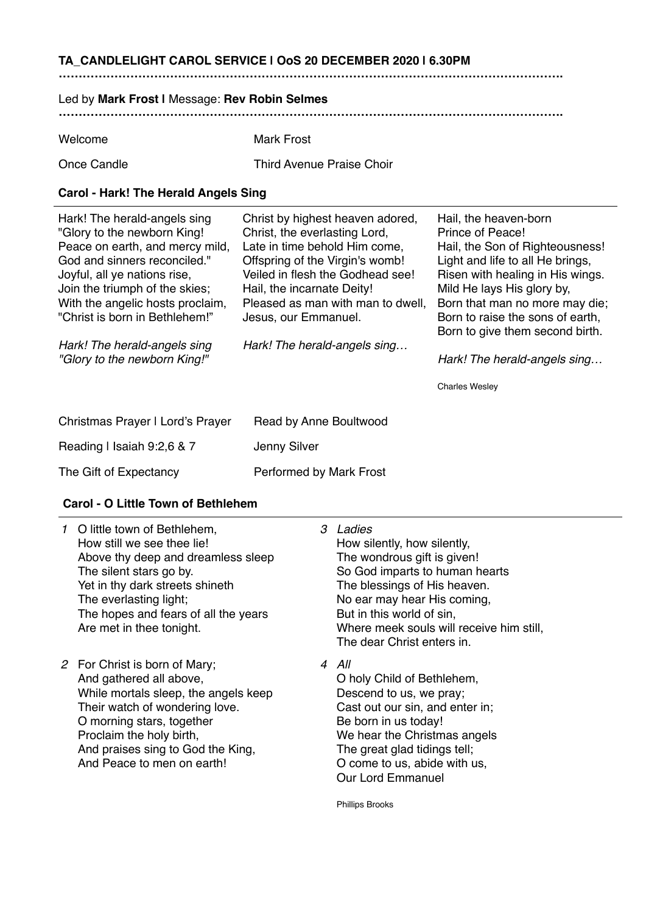# **TA\_CANDLELIGHT CAROL SERVICE | OoS 20 DECEMBER 2020 | 6.30PM**

# **……………………………………………………………………………………………………………….**

#### Led by **Mark Frost |** Message: **Rev Robin Selmes**

**……………………………………………………………………………………………………………….**

| Welcome | <b>Mark Frost</b> |
|---------|-------------------|
|         |                   |

Once Candle Third Avenue Praise Choir

#### **Carol - Hark! The Herald Angels Sing**

| Hark! The herald-angels sing<br>"Glory to the newborn King!<br>Peace on earth, and mercy mild,<br>God and sinners reconciled."<br>Joyful, all ye nations rise,<br>Join the triumph of the skies;<br>With the angelic hosts proclaim,<br>"Christ is born in Bethlehem!" | Christ by highest heaven adored,<br>Christ, the everlasting Lord,<br>Late in time behold Him come,<br>Offspring of the Virgin's womb!<br>Veiled in flesh the Godhead see!<br>Hail, the incarnate Deity!<br>Pleased as man with man to dwell,<br>Jesus, our Emmanuel. | Hail, the heaven-born<br>Prince of Peace!<br>Hail, the Son of Righteousness!<br>Light and life to all He brings,<br>Risen with healing in His wings.<br>Mild He lays His glory by,<br>Born that man no more may die;<br>Born to raise the sons of earth, |
|------------------------------------------------------------------------------------------------------------------------------------------------------------------------------------------------------------------------------------------------------------------------|----------------------------------------------------------------------------------------------------------------------------------------------------------------------------------------------------------------------------------------------------------------------|----------------------------------------------------------------------------------------------------------------------------------------------------------------------------------------------------------------------------------------------------------|
| Hark! The herald-angels sing<br>"Glory to the newborn King!"                                                                                                                                                                                                           | Hark! The herald-angels sing                                                                                                                                                                                                                                         | Born to give them second birth.<br>Hark! The herald-angels sing                                                                                                                                                                                          |
|                                                                                                                                                                                                                                                                        |                                                                                                                                                                                                                                                                      | <b>Charles Wesley</b>                                                                                                                                                                                                                                    |
| Christmas Prayer I Lord's Prayer                                                                                                                                                                                                                                       | Read by Anne Boultwood                                                                                                                                                                                                                                               |                                                                                                                                                                                                                                                          |
| Reading I Isaiah 9:2,6 & 7                                                                                                                                                                                                                                             | Jenny Silver                                                                                                                                                                                                                                                         |                                                                                                                                                                                                                                                          |
| The Gift of Expectancy                                                                                                                                                                                                                                                 | Performed by Mark Frost                                                                                                                                                                                                                                              |                                                                                                                                                                                                                                                          |

# **Carol - O Little Town of Bethlehem**

| 1 O little town of Bethlehem,<br>How still we see thee lie!<br>Above thy deep and dreamless sleep<br>The silent stars go by.<br>Yet in thy dark streets shineth<br>The everlasting light;<br>The hopes and fears of all the years<br>Are met in thee tonight.  | 3 | Ladies<br>How silently, how silently,<br>The wondrous gift is given!<br>So God imparts to human hearts<br>The blessings of His heaven.<br>No ear may hear His coming,<br>But in this world of sin,<br>Where meek souls will receive him still,<br>The dear Christ enters in. |
|----------------------------------------------------------------------------------------------------------------------------------------------------------------------------------------------------------------------------------------------------------------|---|------------------------------------------------------------------------------------------------------------------------------------------------------------------------------------------------------------------------------------------------------------------------------|
| 2 For Christ is born of Mary;<br>And gathered all above,<br>While mortals sleep, the angels keep<br>Their watch of wondering love.<br>O morning stars, together<br>Proclaim the holy birth,<br>And praises sing to God the King,<br>And Peace to men on earth! |   | 4 All<br>O holy Child of Bethlehem,<br>Descend to us, we pray;<br>Cast out our sin, and enter in;<br>Be born in us today!<br>We hear the Christmas angels<br>The great glad tidings tell;<br>O come to us, abide with us,<br><b>Our Lord Emmanuel</b>                        |

Phillips Brooks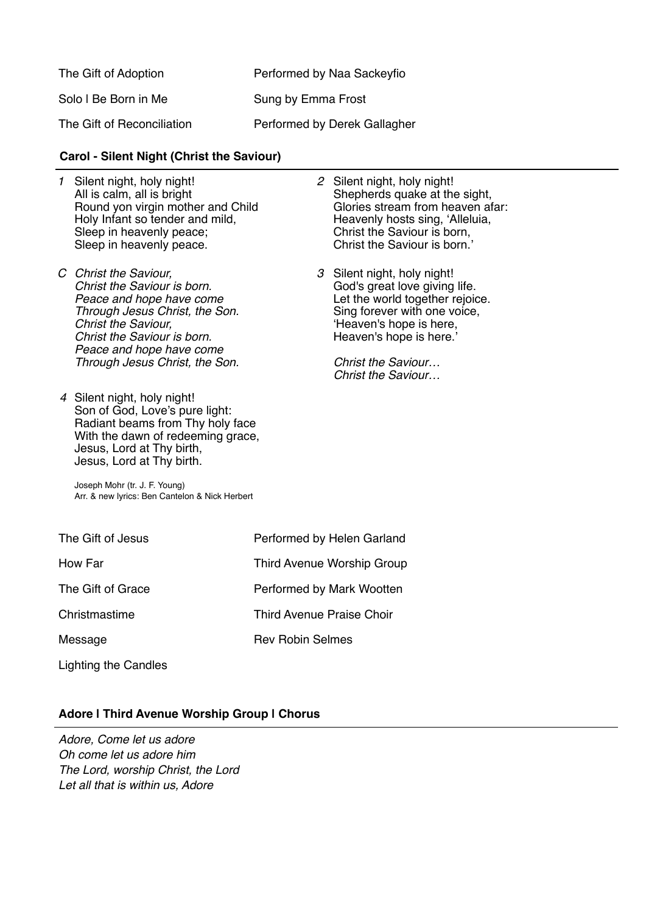| The Gift of Adoption       | Performed by Naa Sackeyfio   |
|----------------------------|------------------------------|
| Solo I Be Born in Me       | Sung by Emma Frost           |
| The Gift of Reconciliation | Performed by Derek Gallagher |

#### **Carol - Silent Night (Christ the Saviour)**

- *1* Silent night, holy night! All is calm, all is bright Round yon virgin mother and Child Holy Infant so tender and mild, Sleep in heavenly peace; Sleep in heavenly peace.
- *C Christ the Saviour, Christ the Saviour is born. Peace and hope have come Through Jesus Christ, the Son. Christ the Saviour, Christ the Saviour is born. Peace and hope have come Through Jesus Christ, the Son.*
- *4* Silent night, holy night! Son of God, Love's pure light: Radiant beams from Thy holy face With the dawn of redeeming grace, Jesus, Lord at Thy birth, Jesus, Lord at Thy birth.

*2* Silent night, holy night! Shepherds quake at the sight, Glories stream from heaven afar: Heavenly hosts sing, 'Alleluia, Christ the Saviour is born, Christ the Saviour is born.'

*3* Silent night, holy night! God's great love giving life. Let the world together rejoice. Sing forever with one voice, 'Heaven's hope is here, Heaven's hope is here.'

> *Christ the Saviour… Christ the Saviour…*

Joseph Mohr (tr. J. F. Young) Arr. & new lyrics: Ben Cantelon & Nick Herbert

The Gift of Jesus Performed by Helen Garland How Far **Third Avenue Worship Group** The Gift of Grace Performed by Mark Wootten Christmastime Third Avenue Praise Choir

Message Rev Robin Selmes

Lighting the Candles

# **Adore | Third Avenue Worship Group | Chorus**

*Adore, Come let us adore Oh come let us adore him The Lord, worship Christ, the Lord Let all that is within us, Adore*